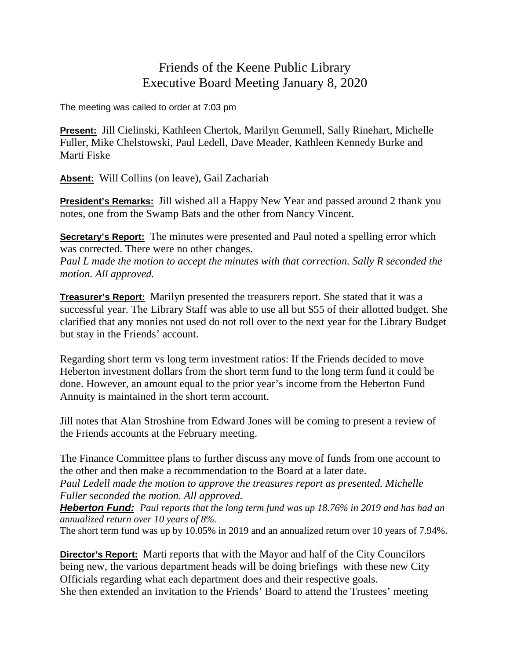## Friends of the Keene Public Library Executive Board Meeting January 8, 2020

The meeting was called to order at 7:03 pm

**Present:** Jill Cielinski, Kathleen Chertok, Marilyn Gemmell, Sally Rinehart, Michelle Fuller, Mike Chelstowski, Paul Ledell, Dave Meader, Kathleen Kennedy Burke and Marti Fiske

**Absent:** Will Collins (on leave), Gail Zachariah

**President's Remarks:** Jill wished all a Happy New Year and passed around 2 thank you notes, one from the Swamp Bats and the other from Nancy Vincent.

**Secretary's Report:** The minutes were presented and Paul noted a spelling error which was corrected. There were no other changes.

*Paul L made the motion to accept the minutes with that correction. Sally R seconded the motion. All approved.*

**Treasurer's Report:** Marilyn presented the treasurers report. She stated that it was a successful year. The Library Staff was able to use all but \$55 of their allotted budget. She clarified that any monies not used do not roll over to the next year for the Library Budget but stay in the Friends' account.

Regarding short term vs long term investment ratios: If the Friends decided to move Heberton investment dollars from the short term fund to the long term fund it could be done. However, an amount equal to the prior year's income from the Heberton Fund Annuity is maintained in the short term account.

Jill notes that Alan Stroshine from Edward Jones will be coming to present a review of the Friends accounts at the February meeting.

The Finance Committee plans to further discuss any move of funds from one account to the other and then make a recommendation to the Board at a later date.

*Paul Ledell made the motion to approve the treasures report as presented. Michelle Fuller seconded the motion. All approved.*

*Heberton Fund: Paul reports that the long term fund was up 18.76% in 2019 and has had an annualized return over 10 years of 8%.*

The short term fund was up by 10.05% in 2019 and an annualized return over 10 years of 7.94%.

**Director's Report:** Marti reports that with the Mayor and half of the City Councilors being new, the various department heads will be doing briefings with these new City Officials regarding what each department does and their respective goals. She then extended an invitation to the Friends' Board to attend the Trustees' meeting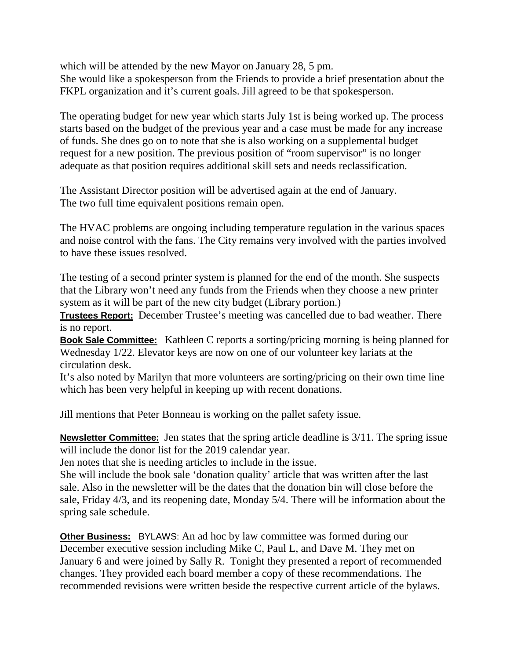which will be attended by the new Mayor on January 28, 5 pm. She would like a spokesperson from the Friends to provide a brief presentation about the FKPL organization and it's current goals. Jill agreed to be that spokesperson.

The operating budget for new year which starts July 1st is being worked up. The process starts based on the budget of the previous year and a case must be made for any increase of funds. She does go on to note that she is also working on a supplemental budget request for a new position. The previous position of "room supervisor" is no longer adequate as that position requires additional skill sets and needs reclassification.

The Assistant Director position will be advertised again at the end of January. The two full time equivalent positions remain open.

The HVAC problems are ongoing including temperature regulation in the various spaces and noise control with the fans. The City remains very involved with the parties involved to have these issues resolved.

The testing of a second printer system is planned for the end of the month. She suspects that the Library won't need any funds from the Friends when they choose a new printer system as it will be part of the new city budget (Library portion.)

**Trustees Report:** December Trustee's meeting was cancelled due to bad weather. There is no report.

**Book Sale Committee:** Kathleen C reports a sorting/pricing morning is being planned for Wednesday 1/22. Elevator keys are now on one of our volunteer key lariats at the circulation desk.

It's also noted by Marilyn that more volunteers are sorting/pricing on their own time line which has been very helpful in keeping up with recent donations.

Jill mentions that Peter Bonneau is working on the pallet safety issue.

**Newsletter Committee:** Jen states that the spring article deadline is 3/11. The spring issue will include the donor list for the 2019 calendar year.

Jen notes that she is needing articles to include in the issue.

She will include the book sale 'donation quality' article that was written after the last sale. Also in the newsletter will be the dates that the donation bin will close before the sale, Friday 4/3, and its reopening date, Monday 5/4. There will be information about the spring sale schedule.

**Other Business:** BYLAWS: An ad hoc by law committee was formed during our December executive session including Mike C, Paul L, and Dave M. They met on January 6 and were joined by Sally R. Tonight they presented a report of recommended changes. They provided each board member a copy of these recommendations. The recommended revisions were written beside the respective current article of the bylaws.